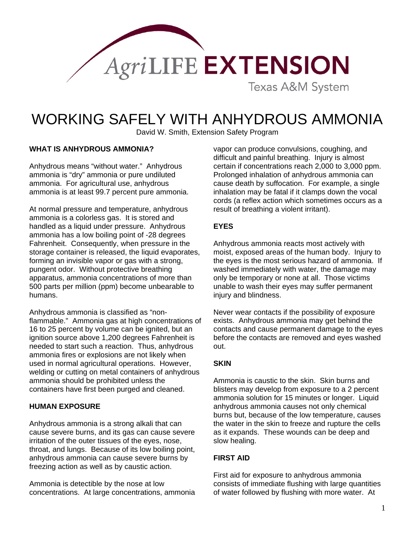

# WORKING SAFELY WITH ANHYDROUS AMMONIA

David W. Smith, Extension Safety Program

#### **WHAT IS ANHYDROUS AMMONIA?**

Anhydrous means "without water." Anhydrous ammonia is "dry" ammonia or pure undiluted ammonia. For agricultural use, anhydrous ammonia is at least 99.7 percent pure ammonia.

At normal pressure and temperature, anhydrous ammonia is a colorless gas. It is stored and handled as a liquid under pressure. Anhydrous ammonia has a low boiling point of -28 degrees Fahrenheit. Consequently, when pressure in the storage container is released, the liquid evaporates, forming an invisible vapor or gas with a strong, pungent odor. Without protective breathing apparatus, ammonia concentrations of more than 500 parts per million (ppm) become unbearable to humans.

Anhydrous ammonia is classified as "nonflammable." Ammonia gas at high concentrations of 16 to 25 percent by volume can be ignited, but an ignition source above 1,200 degrees Fahrenheit is needed to start such a reaction. Thus, anhydrous ammonia fires or explosions are not likely when used in normal agricultural operations. However, welding or cutting on metal containers of anhydrous ammonia should be prohibited unless the containers have first been purged and cleaned.

#### **HUMAN EXPOSURE**

Anhydrous ammonia is a strong alkali that can cause severe burns, and its gas can cause severe irritation of the outer tissues of the eyes, nose, throat, and lungs. Because of its low boiling point, anhydrous ammonia can cause severe burns by freezing action as well as by caustic action.

Ammonia is detectible by the nose at low concentrations. At large concentrations, ammonia vapor can produce convulsions, coughing, and difficult and painful breathing. Injury is almost certain if concentrations reach 2,000 to 3,000 ppm. Prolonged inhalation of anhydrous ammonia can cause death by suffocation. For example, a single inhalation may be fatal if it clamps down the vocal cords (a reflex action which sometimes occurs as a result of breathing a violent irritant).

#### **EYES**

Anhydrous ammonia reacts most actively with moist, exposed areas of the human body. Injury to the eyes is the most serious hazard of ammonia. If washed immediately with water, the damage may only be temporary or none at all. Those victims unable to wash their eyes may suffer permanent injury and blindness.

Never wear contacts if the possibility of exposure exists. Anhydrous ammonia may get behind the contacts and cause permanent damage to the eyes before the contacts are removed and eyes washed out.

## **SKIN**

Ammonia is caustic to the skin. Skin burns and blisters may develop from exposure to a 2 percent ammonia solution for 15 minutes or longer. Liquid anhydrous ammonia causes not only chemical burns but, because of the low temperature, causes the water in the skin to freeze and rupture the cells as it expands. These wounds can be deep and slow healing.

#### **FIRST AID**

First aid for exposure to anhydrous ammonia consists of immediate flushing with large quantities of water followed by flushing with more water. At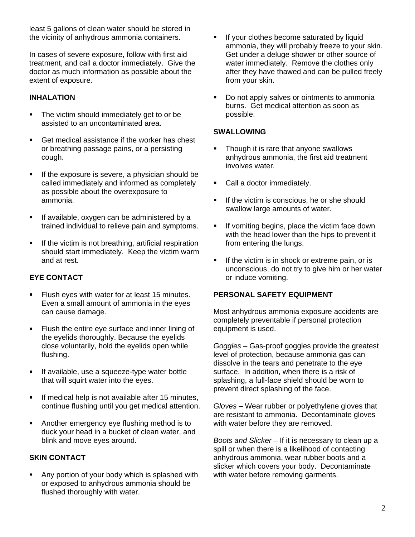least 5 gallons of clean water should be stored in the vicinity of anhydrous ammonia containers.

In cases of severe exposure, follow with first aid treatment, and call a doctor immediately. Give the doctor as much information as possible about the extent of exposure.

## **INHALATION**

- The victim should immediately get to or be assisted to an uncontaminated area.
- Get medical assistance if the worker has chest or breathing passage pains, or a persisting cough.
- If the exposure is severe, a physician should be called immediately and informed as completely as possible about the overexposure to ammonia.
- **If available, oxygen can be administered by a** trained individual to relieve pain and symptoms.
- If the victim is not breathing, artificial respiration should start immediately. Keep the victim warm and at rest.

# **EYE CONTACT**

- **Flush eyes with water for at least 15 minutes.** Even a small amount of ammonia in the eyes can cause damage.
- **Filush the entire eve surface and inner lining of** the eyelids thoroughly. Because the eyelids close voluntarily, hold the eyelids open while flushing.
- **If available, use a squeeze-type water bottle** that will squirt water into the eyes.
- **If medical help is not available after 15 minutes,** continue flushing until you get medical attention.
- **Another emergency eye flushing method is to** duck your head in a bucket of clean water, and blink and move eyes around.

# **SKIN CONTACT**

 Any portion of your body which is splashed with or exposed to anhydrous ammonia should be flushed thoroughly with water.

- If your clothes become saturated by liquid ammonia, they will probably freeze to your skin. Get under a deluge shower or other source of water immediately. Remove the clothes only after they have thawed and can be pulled freely from your skin.
- Do not apply salves or ointments to ammonia burns. Get medical attention as soon as possible.

### **SWALLOWING**

- Though it is rare that anyone swallows anhydrous ammonia, the first aid treatment involves water.
- Call a doctor immediately.
- If the victim is conscious, he or she should swallow large amounts of water.
- If vomiting begins, place the victim face down with the head lower than the hips to prevent it from entering the lungs.
- **If the victim is in shock or extreme pain, or is** unconscious, do not try to give him or her water or induce vomiting.

# **PERSONAL SAFETY EQUIPMENT**

Most anhydrous ammonia exposure accidents are completely preventable if personal protection equipment is used.

*Goggles* – Gas-proof goggles provide the greatest level of protection, because ammonia gas can dissolve in the tears and penetrate to the eye surface. In addition, when there is a risk of splashing, a full-face shield should be worn to prevent direct splashing of the face.

*Gloves* – Wear rubber or polyethylene gloves that are resistant to ammonia. Decontaminate gloves with water before they are removed.

*Boots and Slicker* – If it is necessary to clean up a spill or when there is a likelihood of contacting anhydrous ammonia, wear rubber boots and a slicker which covers your body. Decontaminate with water before removing garments.